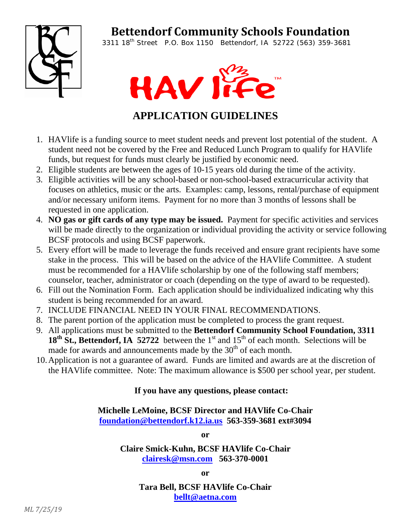## **Bettendorf Community Schools Foundation**



3311 18th Street P.O. Box 1150 Bettendorf, IA 52722 (563) 359-3681



## **APPLICATION GUIDELINES**

- 1. HAVlife is a funding source to meet student needs and prevent lost potential of the student. A student need not be covered by the Free and Reduced Lunch Program to qualify for HAVlife funds, but request for funds must clearly be justified by economic need.
- 2. Eligible students are between the ages of 10-15 years old during the time of the activity.
- 3. Eligible activities will be any school-based or non-school-based extracurricular activity that focuses on athletics, music or the arts. Examples: camp, lessons, rental/purchase of equipment and/or necessary uniform items. Payment for no more than 3 months of lessons shall be requested in one application.
- 4. **NO gas or gift cards of any type may be issued.** Payment for specific activities and services will be made directly to the organization or individual providing the activity or service following BCSF protocols and using BCSF paperwork.
- 5. Every effort will be made to leverage the funds received and ensure grant recipients have some stake in the process. This will be based on the advice of the HAVlife Committee. A student must be recommended for a HAVlife scholarship by one of the following staff members; counselor, teacher, administrator or coach (depending on the type of award to be requested).
- 6. Fill out the Nomination Form. Each application should be individualized indicating why this student is being recommended for an award.
- 7. INCLUDE FINANCIAL NEED IN YOUR FINAL RECOMMENDATIONS.
- 8. The parent portion of the application must be completed to process the grant request.
- 9. All applications must be submitted to the **Bettendorf Community School Foundation, 3311**  18<sup>th</sup> St., Bettendorf, IA 52722 between the 1<sup>st</sup> and 15<sup>th</sup> of each month. Selections will be made for awards and announcements made by the 30<sup>th</sup> of each month.
- 10.Application is not a guarantee of award. Funds are limited and awards are at the discretion of the HAVlife committee. Note: The maximum allowance is \$500 per school year, per student.

## **If you have any questions, please contact:**

**Michelle LeMoine, BCSF Director and HAVlife Co-Chair foundation@bettendorf.k12.ia.us 563-359-3681 ext#3094** 

**or** 

**Claire Smick-Kuhn, BCSF HAVlife Co-Chair clairesk@msn.com 563-370-0001** 

**or** 

**Tara Bell, BCSF HAVlife Co-Chair bellt@aetna.com**